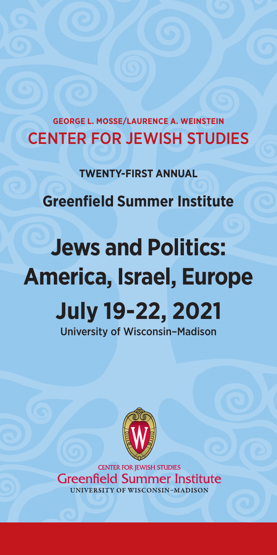**GEORGE L. MOSSE/LAURENCE A. WEINSTEIN** CENTER FOR JEWISH STUDIES

**TWENTY-FIRST ANNUAL**

**Greenfield Summer Institute**

# **Jews and Politics: America, Israel, Europe July 19-22, 2021** University of Wisconsin–Madison



**CENTER FOR JEWISH STUDIES Greenfield Summer Institute** UNIVERSITY OF WISCONSIN-MADISON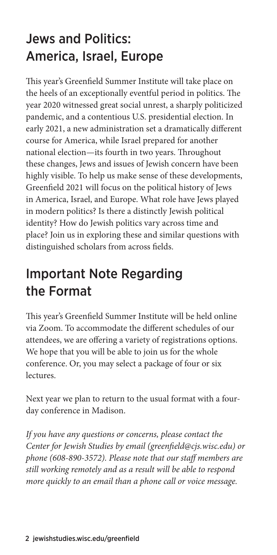# Jews and Politics: America, Israel, Europe

This year's Greenfield Summer Institute will take place on the heels of an exceptionally eventful period in politics. The year 2020 witnessed great social unrest, a sharply politicized pandemic, and a contentious U.S. presidential election. In early 2021, a new administration set a dramatically different course for America, while Israel prepared for another national election—its fourth in two years. Throughout these changes, Jews and issues of Jewish concern have been highly visible. To help us make sense of these developments, Greenfield 2021 will focus on the political history of Jews in America, Israel, and Europe. What role have Jews played in modern politics? Is there a distinctly Jewish political identity? How do Jewish politics vary across time and place? Join us in exploring these and similar questions with distinguished scholars from across fields.

# Important Note Regarding the Format

This year's Greenfield Summer Institute will be held online via Zoom. To accommodate the different schedules of our attendees, we are offering a variety of registrations options. We hope that you will be able to join us for the whole conference. Or, you may select a package of four or six lectures.

Next year we plan to return to the usual format with a fourday conference in Madison.

*If you have any questions or concerns, please contact the Center for Jewish Studies by email (greenfield@cjs.wisc.edu) or phone (608-890-3572). Please note that our staff members are still working remotely and as a result will be able to respond more quickly to an email than a phone call or voice message.*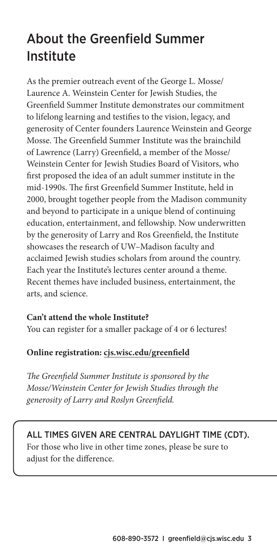# About the Greenfield Summer Institute

As the premier outreach event of the George L. Mosse/ Laurence A. Weinstein Center for Jewish Studies, the Greenfield Summer Institute demonstrates our commitment to lifelong learning and testifies to the vision, legacy, and generosity of Center founders Laurence Weinstein and George Mosse. The Greenfield Summer Institute was the brainchild of Lawrence (Larry) Greenfield, a member of the Mosse/ Weinstein Center for Jewish Studies Board of Visitors, who first proposed the idea of an adult summer institute in the mid-1990s. The first Greenfield Summer Institute, held in 2000, brought together people from the Madison community and beyond to participate in a unique blend of continuing education, entertainment, and fellowship. Now underwritten by the generosity of Larry and Ros Greenfield, the Institute showcases the research of UW–Madison faculty and acclaimed Jewish studies scholars from around the country. Each year the Institute's lectures center around a theme. Recent themes have included business, entertainment, the arts, and science.

#### **Can't attend the whole Institute?**

You can register for a smaller package of 4 or 6 lectures!

#### **Online registration: cjs.wisc.edu/greenfield**

*The Greenfield Summer Institute is sponsored by the Mosse/Weinstein Center for Jewish Studies through the generosity of Larry and Roslyn Greenfield.*

#### ALL TIMES GIVEN ARE CENTRAL DAYLIGHT TIME (CDT).

For those who live in other time zones, please be sure to adjust for the difference.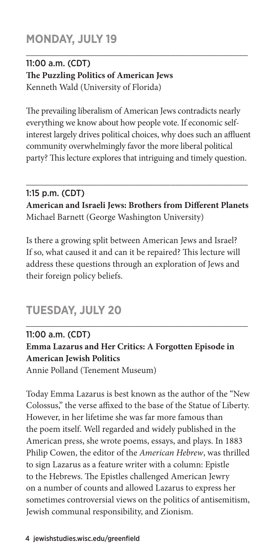## **MONDAY, JULY 19**

#### 11:00 a.m. (CDT) **The Puzzling Politics of American Jews**  Kenneth Wald (University of Florida)

The prevailing liberalism of American Jews contradicts nearly everything we know about how people vote. If economic selfinterest largely drives political choices, why does such an affluent community overwhelmingly favor the more liberal political party? This lecture explores that intriguing and timely question.

\_\_\_\_\_\_\_\_\_\_\_\_\_\_\_\_\_\_\_\_\_\_\_\_\_\_\_\_\_\_\_\_\_\_\_\_\_\_\_\_\_\_\_\_\_\_\_\_\_

#### 1:15 p.m. (CDT) **American and Israeli Jews: Brothers from Different Planets**  Michael Barnett (George Washington University)

\_\_\_\_\_\_\_\_\_\_\_\_\_\_\_\_\_\_\_\_\_\_\_\_\_\_\_\_\_\_\_\_\_\_\_\_\_\_\_\_\_\_\_\_\_\_\_\_\_

Is there a growing split between American Jews and Israel? If so, what caused it and can it be repaired? This lecture will address these questions through an exploration of Jews and their foreign policy beliefs.

## **TUESDAY, JULY 20**

### 11:00 a.m. (CDT) **Emma Lazarus and Her Critics: A Forgotten Episode in American Jewish Politics**

\_\_\_\_\_\_\_\_\_\_\_\_\_\_\_\_\_\_\_\_\_\_\_\_\_\_\_\_\_\_\_\_\_\_\_\_\_\_\_\_\_\_\_\_\_\_\_\_\_

Annie Polland (Tenement Museum)

Today Emma Lazarus is best known as the author of the "New Colossus," the verse affixed to the base of the Statue of Liberty. However, in her lifetime she was far more famous than the poem itself. Well regarded and widely published in the American press, she wrote poems, essays, and plays. In 1883 Philip Cowen, the editor of the *American Hebrew*, was thrilled to sign Lazarus as a feature writer with a column: Epistle to the Hebrews. The Epistles challenged American Jewry on a number of counts and allowed Lazarus to express her sometimes controversial views on the politics of antisemitism, Jewish communal responsibility, and Zionism.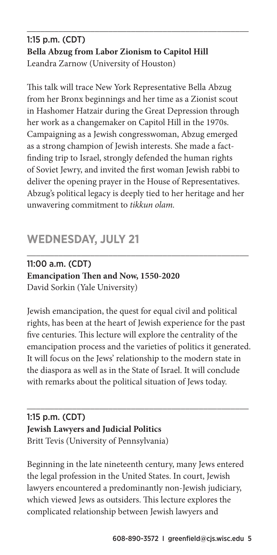#### 1:15 p.m. (CDT) **Bella Abzug from Labor Zionism to Capitol Hill** Leandra Zarnow (University of Houston)

\_\_\_\_\_\_\_\_\_\_\_\_\_\_\_\_\_\_\_\_\_\_\_\_\_\_\_\_\_\_\_\_\_\_\_\_\_\_\_\_\_\_\_\_\_\_\_\_\_

This talk will trace New York Representative Bella Abzug from her Bronx beginnings and her time as a Zionist scout in Hashomer Hatzair during the Great Depression through her work as a changemaker on Capitol Hill in the 1970s. Campaigning as a Jewish congresswoman, Abzug emerged as a strong champion of Jewish interests. She made a factfinding trip to Israel, strongly defended the human rights of Soviet Jewry, and invited the first woman Jewish rabbi to deliver the opening prayer in the House of Representatives. Abzug's political legacy is deeply tied to her heritage and her unwavering commitment to *tikkun olam.*

# **WEDNESDAY, JULY 21**

11:00 a.m. (CDT) **Emancipation Then and Now, 1550-2020** David Sorkin (Yale University)

Jewish emancipation, the quest for equal civil and political rights, has been at the heart of Jewish experience for the past five centuries. This lecture will explore the centrality of the emancipation process and the varieties of politics it generated. It will focus on the Jews' relationship to the modern state in the diaspora as well as in the State of Israel. It will conclude with remarks about the political situation of Jews today.

\_\_\_\_\_\_\_\_\_\_\_\_\_\_\_\_\_\_\_\_\_\_\_\_\_\_\_\_\_\_\_\_\_\_\_\_\_\_\_\_\_\_\_\_\_\_\_\_\_

\_\_\_\_\_\_\_\_\_\_\_\_\_\_\_\_\_\_\_\_\_\_\_\_\_\_\_\_\_\_\_\_\_\_\_\_\_\_\_\_\_\_\_\_\_\_\_\_\_

#### 1:15 p.m. (CDT) **Jewish Lawyers and Judicial Politics** Britt Tevis (University of Pennsylvania)

Beginning in the late nineteenth century, many Jews entered the legal profession in the United States. In court, Jewish lawyers encountered a predominantly non-Jewish judiciary, which viewed Jews as outsiders. This lecture explores the complicated relationship between Jewish lawyers and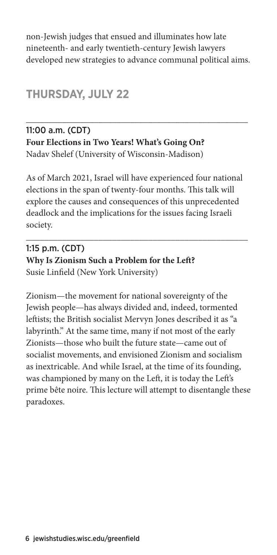non-Jewish judges that ensued and illuminates how late nineteenth- and early twentieth-century Jewish lawyers developed new strategies to advance communal political aims.

\_\_\_\_\_\_\_\_\_\_\_\_\_\_\_\_\_\_\_\_\_\_\_\_\_\_\_\_\_\_\_\_\_\_\_\_\_\_\_\_\_\_\_\_\_\_\_\_\_

### **THURSDAY, JULY 22**

#### 11:00 a.m. (CDT) **Four Elections in Two Years! What's Going On?** Nadav Shelef (University of Wisconsin-Madison)

As of March 2021, Israel will have experienced four national elections in the span of twenty-four months. This talk will explore the causes and consequences of this unprecedented deadlock and the implications for the issues facing Israeli society.

\_\_\_\_\_\_\_\_\_\_\_\_\_\_\_\_\_\_\_\_\_\_\_\_\_\_\_\_\_\_\_\_\_\_\_\_\_\_\_\_\_\_\_\_\_\_\_\_\_

#### 1:15 p.m. (CDT) **Why Is Zionism Such a Problem for the Left?** Susie Linfield (New York University)

Zionism—the movement for national sovereignty of the Jewish people—has always divided and, indeed, tormented leftists; the British socialist Mervyn Jones described it as "a labyrinth." At the same time, many if not most of the early Zionists—those who built the future state—came out of socialist movements, and envisioned Zionism and socialism as inextricable. And while Israel, at the time of its founding, was championed by many on the Left, it is today the Left's prime bête noire. This lecture will attempt to disentangle these paradoxes.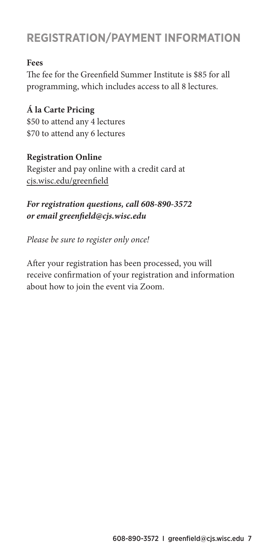# **REGISTRATION/PAYMENT INFORMATION**

#### **Fees**

The fee for the Greenfield Summer Institute is \$85 for all programming, which includes access to all 8 lectures.

**Á la Carte Pricing** \$50 to attend any 4 lectures \$70 to attend any 6 lectures

#### **Registration Online**

Register and pay online with a credit card at cjs.wisc.edu/greenfield

#### *For registration questions, call 608-890-3572 or email greenfield@cjs.wisc.edu*

*Please be sure to register only once!*

After your registration has been processed, you will receive confirmation of your registration and information about how to join the event via Zoom.